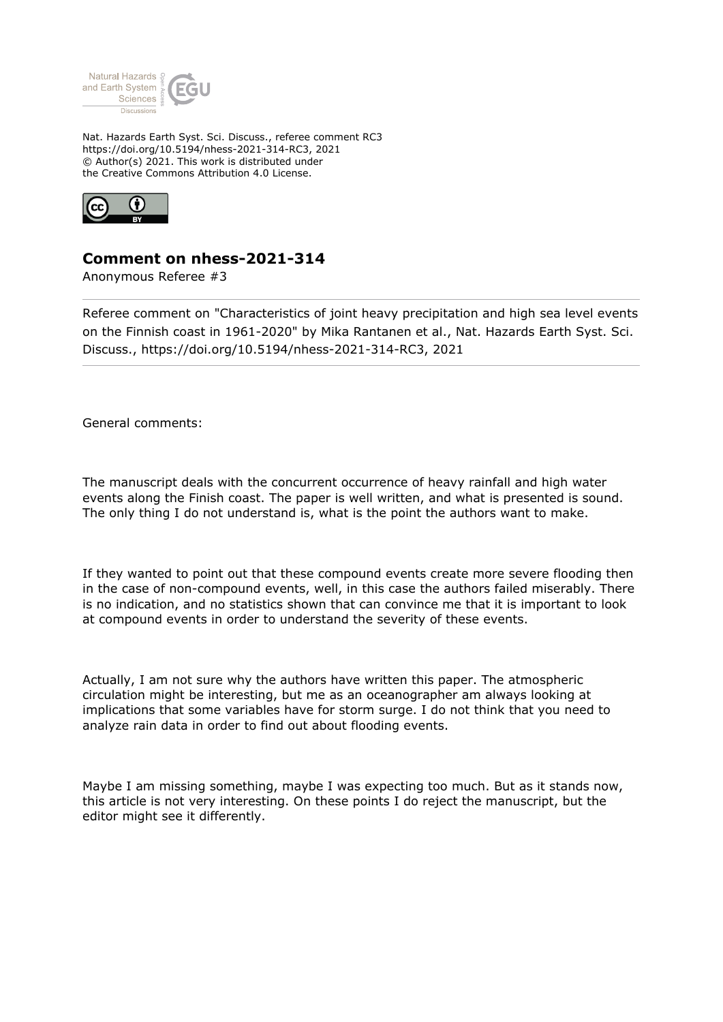

Nat. Hazards Earth Syst. Sci. Discuss., referee comment RC3 https://doi.org/10.5194/nhess-2021-314-RC3, 2021 © Author(s) 2021. This work is distributed under the Creative Commons Attribution 4.0 License.



## **Comment on nhess-2021-314**

Anonymous Referee #3

Referee comment on "Characteristics of joint heavy precipitation and high sea level events on the Finnish coast in 1961-2020" by Mika Rantanen et al., Nat. Hazards Earth Syst. Sci. Discuss., https://doi.org/10.5194/nhess-2021-314-RC3, 2021

General comments:

The manuscript deals with the concurrent occurrence of heavy rainfall and high water events along the Finish coast. The paper is well written, and what is presented is sound. The only thing I do not understand is, what is the point the authors want to make.

If they wanted to point out that these compound events create more severe flooding then in the case of non-compound events, well, in this case the authors failed miserably. There is no indication, and no statistics shown that can convince me that it is important to look at compound events in order to understand the severity of these events.

Actually, I am not sure why the authors have written this paper. The atmospheric circulation might be interesting, but me as an oceanographer am always looking at implications that some variables have for storm surge. I do not think that you need to analyze rain data in order to find out about flooding events.

Maybe I am missing something, maybe I was expecting too much. But as it stands now, this article is not very interesting. On these points I do reject the manuscript, but the editor might see it differently.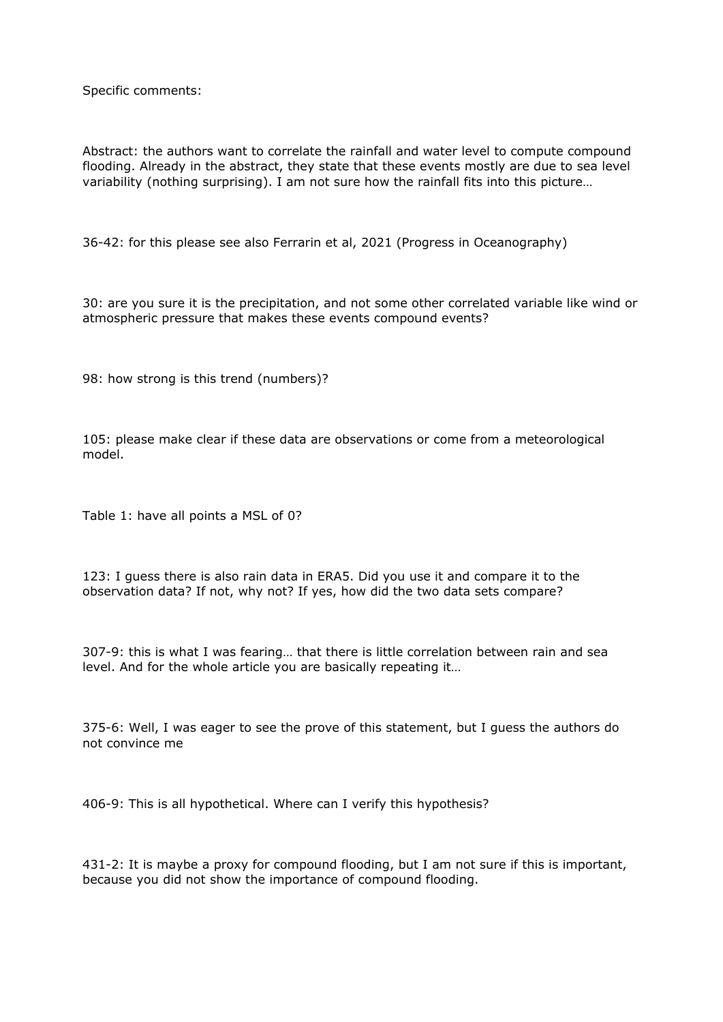Specific comments:

Abstract: the authors want to correlate the rainfall and water level to compute compound flooding. Already in the abstract, they state that these events mostly are due to sea level variability (nothing surprising). I am not sure how the rainfall fits into this picture…

36-42: for this please see also Ferrarin et al, 2021 (Progress in Oceanography)

30: are you sure it is the precipitation, and not some other correlated variable like wind or atmospheric pressure that makes these events compound events?

98: how strong is this trend (numbers)?

105: please make clear if these data are observations or come from a meteorological model.

Table 1: have all points a MSL of 0?

123: I guess there is also rain data in ERA5. Did you use it and compare it to the observation data? If not, why not? If yes, how did the two data sets compare?

307-9: this is what I was fearing… that there is little correlation between rain and sea level. And for the whole article you are basically repeating it…

375-6: Well, I was eager to see the prove of this statement, but I guess the authors do not convince me

406-9: This is all hypothetical. Where can I verify this hypothesis?

431-2: It is maybe a proxy for compound flooding, but I am not sure if this is important, because you did not show the importance of compound flooding.